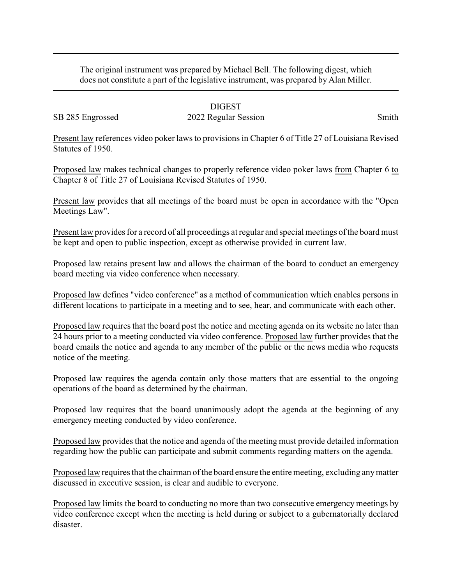The original instrument was prepared by Michael Bell. The following digest, which does not constitute a part of the legislative instrument, was prepared by Alan Miller.

## DIGEST

## SB 285 Engrossed 2022 Regular Session Smith

Present law references video poker laws to provisions in Chapter 6 of Title 27 of Louisiana Revised Statutes of 1950.

Proposed law makes technical changes to properly reference video poker laws from Chapter 6 to Chapter 8 of Title 27 of Louisiana Revised Statutes of 1950.

Present law provides that all meetings of the board must be open in accordance with the "Open Meetings Law".

Present law provides for a record of all proceedings at regular and special meetings of the board must be kept and open to public inspection, except as otherwise provided in current law.

Proposed law retains present law and allows the chairman of the board to conduct an emergency board meeting via video conference when necessary.

Proposed law defines "video conference" as a method of communication which enables persons in different locations to participate in a meeting and to see, hear, and communicate with each other.

Proposed law requires that the board post the notice and meeting agenda on its website no later than 24 hours prior to a meeting conducted via video conference. Proposed law further provides that the board emails the notice and agenda to any member of the public or the news media who requests notice of the meeting.

Proposed law requires the agenda contain only those matters that are essential to the ongoing operations of the board as determined by the chairman.

Proposed law requires that the board unanimously adopt the agenda at the beginning of any emergency meeting conducted by video conference.

Proposed law provides that the notice and agenda of the meeting must provide detailed information regarding how the public can participate and submit comments regarding matters on the agenda.

Proposed law requires that the chairman of the board ensure the entire meeting, excluding anymatter discussed in executive session, is clear and audible to everyone.

Proposed law limits the board to conducting no more than two consecutive emergency meetings by video conference except when the meeting is held during or subject to a gubernatorially declared disaster.